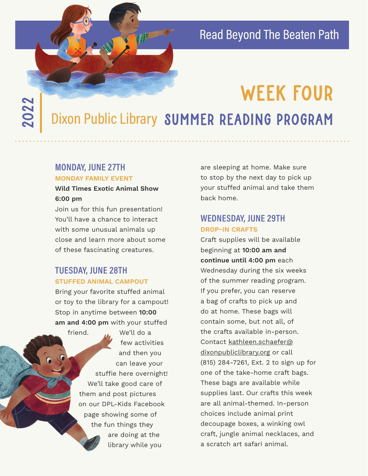### Read Beyond The Beaten Path

# WEEK FOUR

Dixon Public Library SUMMER READING PROGRAM

### **MONDAY, JUNE 27TH**

2022

### **MONDAY FAMILY EVENT**

### **Wild Times Exotic Animal Show 6:00 pm**

Join us for this fun presentation! You'll have a chance to interact with some unusual animals up close and learn more about some of these fascinating creatures.

### **TUESDAY, JUNE 28TH STUFFED ANIMAL CAMPOUT**

Bring your favorite stuffed animal or toy to the library for a campout! Stop in anytime between **10:00 am and 4:00 pm** with your stuffed

> friend. We'll do a few activities and then you can leave your stuffie here overnight! We'll take good care of them and post pictures on our DPL-Kids Facebook page showing some of the fun things they are doing at the library while you

are sleeping at home. Make sure to stop by the next day to pick up your stuffed animal and take them back home.

### **WEDNESDAY, JUNE 29TH DROP-IN CRAFTS**

Craft supplies will be available beginning at **10:00 am and continue until 4:00 pm** each Wednesday during the six weeks of the summer reading program. If you prefer, you can reserve a bag of crafts to pick up and do at home. These bags will contain some, but not all, of the crafts available in-person. Contact kathleen.schaefer@ dixonpubliclibrary.org or call (815) 284-7261, Ext. 2 to sign up for one of the take-home craft bags. These bags are available while supplies last. Our crafts this week are all animal-themed. In-person choices include animal print decoupage boxes, a winking owl craft, jungle animal necklaces, and a scratch art safari animal.